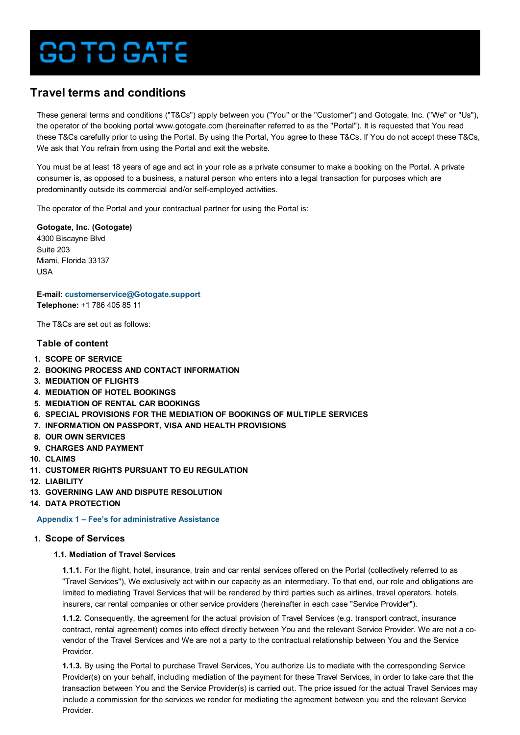# **DITO GATE**

# **Travel terms and conditions**

These general terms and conditions ("T&Cs") apply between you ("You" or the "Customer") and Gotogate, Inc. ("We" or "Us"), the operator of the booking portal www.gotogate.com (hereinafter referred to as the "Portal"). It is requested that You read these T&Cs carefully prior to using the Portal. By using the Portal, You agree to these T&Cs. If You do not accept these T&Cs, We ask that You refrain from using the Portal and exit the website.

You must be at least 18 years of age and act in your role as a private consumer to make a booking on the Portal. A private consumer is, as opposed to a business, a natural person who enters into a legal transaction for purposes which are predominantly outside its commercial and/or self-employed activities.

The operator of the Portal and your contractual partner for using the Portal is:

**Gotogate, Inc. (Gotogate)** 4300 Biscayne Blvd Suite 203 Miami, Florida 33137 USA

**E-mail: [customerservice@Gotogate.support](mailto:customerservice@Gotogate.support) Telephone:** +1 786 405 85 11

The T&Cs are set out as follows:

## **Table of content**

- **1. SCOPE OF SERVICE**
- **2. [BOOKING PROCESS AND CONTACT INFORMATION](#page-1-0)**
- **3. [MEDIATION OF FLIGHTS](#page-1-0)**
- **4. [MEDIATION OF HOTEL BOOKINGS](#page-4-0)**
- **5. [MEDIATION OF RENTAL CAR BOOKINGS](#page-4-0)**
- **6. [SPECIAL PROVISIONS FOR THE MEDIATION OF BOOKINGS OF MULTIPLE SERVICES](#page-4-0)**
- **7. [INFORMATION ON PASSPORT, VISA AND HEALTH PROVISIONS](#page-4-0)**
- **8. [OUR OWN SERVICES](#page-4-0)**
- **9. [CHARGES AND PAYMENT](#page-7-0)**
- **10. [CLAIMS](#page-8-0)**
- **11. [CUSTOMER RIGHTS PURSUANT TO EU REGULATION](#page-8-0)**
- **12. [LIABILITY](#page-8-0)**
- **13. [GOVERNING LAW AND DISPUTE RESOLUTION](#page-8-0)**
- **14. [DATA PROTECTION](#page-8-0)**

**[Appendix 1 – Fee's for administrative Assistance](#page-8-0)**

## **1. Scope of Services**

## **1.1. Mediation of Travel Services**

**1.1.1.** For the flight, hotel, insurance, train and car rental services offered on the Portal (collectively referred to as "Travel Services"), We exclusively act within our capacity as an intermediary. To that end, our role and obligations are limited to mediating Travel Services that will be rendered by third parties such as airlines, travel operators, hotels, insurers, car rental companies or other service providers (hereinafter in each case "Service Provider").

**1.1.2.** Consequently, the agreement for the actual provision of Travel Services (e.g. transport contract, insurance contract, rental agreement) comes into effect directly between You and the relevant Service Provider. We are not a covendor of the Travel Services and We are not a party to the contractual relationship between You and the Service Provider.

**1.1.3.** By using the Portal to purchase Travel Services, You authorize Us to mediate with the corresponding Service Provider(s) on your behalf, including mediation of the payment for these Travel Services, in order to take care that the transaction between You and the Service Provider(s) is carried out. The price issued for the actual Travel Services may include a commission for the services we render for mediating the agreement between you and the relevant Service Provider.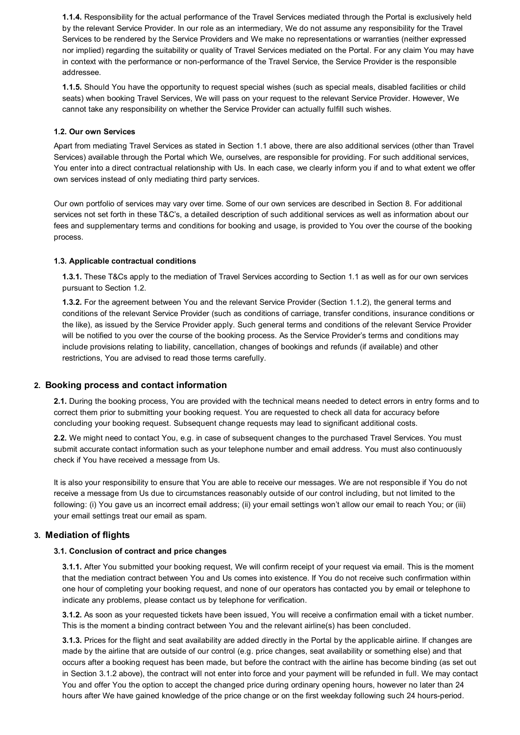<span id="page-1-0"></span>**1.1.4.** Responsibility for the actual performance of the Travel Services mediated through the Portal is exclusively held by the relevant Service Provider. In our role as an intermediary, We do not assume any responsibility for the Travel Services to be rendered by the Service Providers and We make no representations or warranties (neither expressed nor implied) regarding the suitability or quality of Travel Services mediated on the Portal. For any claim You may have in context with the performance or non-performance of the Travel Service, the Service Provider is the responsible addressee.

**1.1.5.** Should You have the opportunity to request special wishes (such as special meals, disabled facilities or child seats) when booking Travel Services, We will pass on your request to the relevant Service Provider. However, We cannot take any responsibility on whether the Service Provider can actually fulfill such wishes.

## **1.2. Our own Services**

Apart from mediating Travel Services as stated in Section 1.1 above, there are also additional services (other than Travel Services) available through the Portal which We, ourselves, are responsible for providing. For such additional services, You enter into a direct contractual relationship with Us. In each case, we clearly inform you if and to what extent we offer own services instead of only mediating third party services.

Our own portfolio of services may vary over time. Some of our own services are described in Section 8. For additional services not set forth in these T&C's, a detailed description of such additional services as well as information about our fees and supplementary terms and conditions for booking and usage, is provided to You over the course of the booking process.

## **1.3. Applicable contractual conditions**

**1.3.1.** These T&Cs apply to the mediation of Travel Services according to Section 1.1 as well as for our own services pursuant to Section 1.2.

**1.3.2.** For the agreement between You and the relevant Service Provider (Section 1.1.2), the general terms and conditions of the relevant Service Provider (such as conditions of carriage, transfer conditions, insurance conditions or the like), as issued by the Service Provider apply. Such general terms and conditions of the relevant Service Provider will be notified to you over the course of the booking process. As the Service Provider's terms and conditions may include provisions relating to liability, cancellation, changes of bookings and refunds (if available) and other restrictions, You are advised to read those terms carefully.

## **2. Booking process and contact information**

**2.1.** During the booking process, You are provided with the technical means needed to detect errors in entry forms and to correct them prior to submitting your booking request. You are requested to check all data for accuracy before concluding your booking request. Subsequent change requests may lead to significant additional costs.

**2.2.** We might need to contact You, e.g. in case of subsequent changes to the purchased Travel Services. You must submit accurate contact information such as your telephone number and email address. You must also continuously check if You have received a message from Us.

It is also your responsibility to ensure that You are able to receive our messages. We are not responsible if You do not receive a message from Us due to circumstances reasonably outside of our control including, but not limited to the following: (i) You gave us an incorrect email address; (ii) your email settings won't allow our email to reach You; or (iii) your email settings treat our email as spam.

## **3. Mediation of flights**

## **3.1. Conclusion of contract and price changes**

**3.1.1.** After You submitted your booking request, We will confirm receipt of your request via email. This is the moment that the mediation contract between You and Us comes into existence. If You do not receive such confirmation within one hour of completing your booking request, and none of our operators has contacted you by email or telephone to indicate any problems, please contact us by telephone for verification.

**3.1.2.** As soon as your requested tickets have been issued, You will receive a confirmation email with a ticket number. This is the moment a binding contract between You and the relevant airline(s) has been concluded.

**3.1.3.** Prices for the flight and seat availability are added directly in the Portal by the applicable airline. If changes are made by the airline that are outside of our control (e.g. price changes, seat availability or something else) and that occurs after a booking request has been made, but before the contract with the airline has become binding (as set out in Section 3.1.2 above), the contract will not enter into force and your payment will be refunded in full. We may contact You and offer You the option to accept the changed price during ordinary opening hours, however no later than 24 hours after We have gained knowledge of the price change or on the first weekday following such 24 hours-period.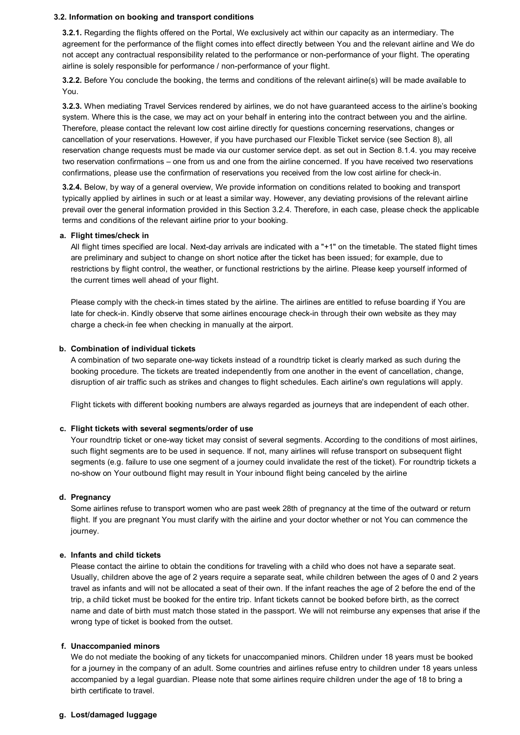#### **3.2. Information on booking and transport conditions**

**3.2.1.** Regarding the flights offered on the Portal, We exclusively act within our capacity as an intermediary. The agreement for the performance of the flight comes into effect directly between You and the relevant airline and We do not accept any contractual responsibility related to the performance or non-performance of your flight. The operating airline is solely responsible for performance / non-performance of your flight.

**3.2.2.** Before You conclude the booking, the terms and conditions of the relevant airline(s) will be made available to You.

**3.2.3.** When mediating Travel Services rendered by airlines, we do not have guaranteed access to the airline's booking system. Where this is the case, we may act on your behalf in entering into the contract between you and the airline. Therefore, please contact the relevant low cost airline directly for questions concerning reservations, changes or cancellation of your reservations. However, if you have purchased our Flexible Ticket service (see Section 8), all reservation change requests must be made via our customer service dept. as set out in Section 8.1.4. you may receive two reservation confirmations – one from us and one from the airline concerned. If you have received two reservations confirmations, please use the confirmation of reservations you received from the low cost airline for check-in.

**3.2.4.** Below, by way of a general overview, We provide information on conditions related to booking and transport typically applied by airlines in such or at least a similar way. However, any deviating provisions of the relevant airline prevail over the general information provided in this Section 3.2.4. Therefore, in each case, please check the applicable terms and conditions of the relevant airline prior to your booking.

#### **a. Flight times/check in**

All flight times specified are local. Next-day arrivals are indicated with a "+1" on the timetable. The stated flight times are preliminary and subject to change on short notice after the ticket has been issued; for example, due to restrictions by flight control, the weather, or functional restrictions by the airline. Please keep yourself informed of the current times well ahead of your flight.

Please comply with the check-in times stated by the airline. The airlines are entitled to refuse boarding if You are late for check-in. Kindly observe that some airlines encourage check-in through their own website as they may charge a check-in fee when checking in manually at the airport.

## **b. Combination of individual tickets**

A combination of two separate one-way tickets instead of a roundtrip ticket is clearly marked as such during the booking procedure. The tickets are treated independently from one another in the event of cancellation, change, disruption of air traffic such as strikes and changes to flight schedules. Each airline's own regulations will apply.

Flight tickets with different booking numbers are always regarded as journeys that are independent of each other.

#### **c. Flight tickets with several segments/order of use**

Your roundtrip ticket or one-way ticket may consist of several segments. According to the conditions of most airlines, such flight segments are to be used in sequence. If not, many airlines will refuse transport on subsequent flight segments (e.g. failure to use one segment of a journey could invalidate the rest of the ticket). For roundtrip tickets a no-show on Your outbound flight may result in Your inbound flight being canceled by the airline

## **d. Pregnancy**

Some airlines refuse to transport women who are past week 28th of pregnancy at the time of the outward or return flight. If you are pregnant You must clarify with the airline and your doctor whether or not You can commence the iourney.

## **e. Infants and child tickets**

Please contact the airline to obtain the conditions for traveling with a child who does not have a separate seat. Usually, children above the age of 2 years require a separate seat, while children between the ages of 0 and 2 years travel as infants and will not be allocated a seat of their own. If the infant reaches the age of 2 before the end of the trip, a child ticket must be booked for the entire trip. Infant tickets cannot be booked before birth, as the correct name and date of birth must match those stated in the passport. We will not reimburse any expenses that arise if the wrong type of ticket is booked from the outset.

#### **f. Unaccompanied minors**

We do not mediate the booking of any tickets for unaccompanied minors. Children under 18 years must be booked for a journey in the company of an adult. Some countries and airlines refuse entry to children under 18 years unless accompanied by a legal guardian. Please note that some airlines require children under the age of 18 to bring a birth certificate to travel.

## **g. Lost/damaged luggage**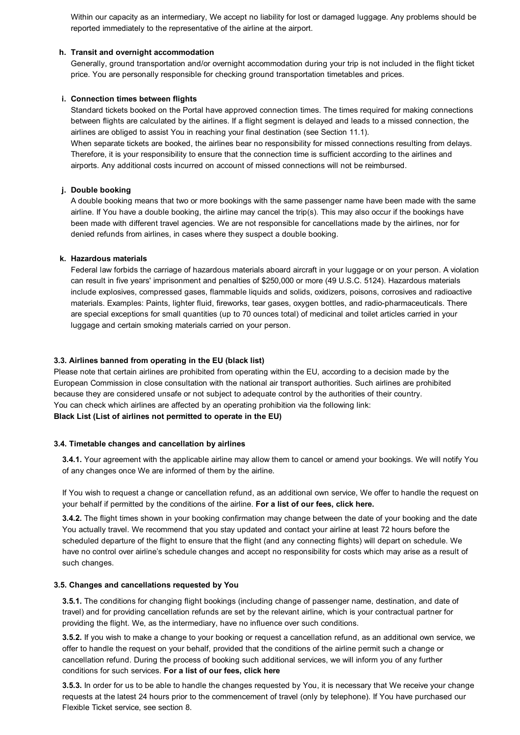Within our capacity as an intermediary, We accept no liability for lost or damaged luggage. Any problems should be reported immediately to the representative of the airline at the airport.

## **h. Transit and overnight accommodation**

Generally, ground transportation and/or overnight accommodation during your trip is not included in the flight ticket price. You are personally responsible for checking ground transportation timetables and prices.

## **i. Connection times between flights**

Standard tickets booked on the Portal have approved connection times. The times required for making connections between flights are calculated by the airlines. If a flight segment is delayed and leads to a missed connection, the airlines are obliged to assist You in reaching your final destination (see Section 11.1).

When separate tickets are booked, the airlines bear no responsibility for missed connections resulting from delays. Therefore, it is your responsibility to ensure that the connection time is sufficient according to the airlines and airports. Any additional costs incurred on account of missed connections will not be reimbursed.

## **j. Double booking**

A double booking means that two or more bookings with the same passenger name have been made with the same airline. If You have a double booking, the airline may cancel the trip(s). This may also occur if the bookings have been made with different travel agencies. We are not responsible for cancellations made by the airlines, nor for denied refunds from airlines, in cases where they suspect a double booking.

## **k. Hazardous materials**

Federal law forbids the carriage of hazardous materials aboard aircraft in your luggage or on your person. A violation can result in five years' imprisonment and penalties of \$250,000 or more (49 U.S.C. 5124). Hazardous materials include explosives, compressed gases, flammable liquids and solids, oxidizers, poisons, corrosives and radioactive materials. Examples: Paints, lighter fluid, fireworks, tear gases, oxygen bottles, and radio-pharmaceuticals. There are special exceptions for small quantities (up to 70 ounces total) of medicinal and toilet articles carried in your luggage and certain smoking materials carried on your person.

## **3.3. Airlines banned from operating in the EU (black list)**

Please note that certain airlines are prohibited from operating within the EU, according to a decision made by the European Commission in close consultation with the national air transport authorities. Such airlines are prohibited because they are considered unsafe or not subject to adequate control by the authorities of their country. You can check which airlines are affected by an operating prohibition via the following link: **[Black List \(List of airlines not permitted to operate in the EU\)](https://ec.europa.eu/transport/language-selector/site-language_en?destination=node/2840)**

#### **3.4. Timetable changes and cancellation by airlines**

**3.4.1.** Your agreement with the applicable airline may allow them to cancel or amend your bookings. We will notify You of any changes once We are informed of them by the airline.

If You wish to request a change or cancellation refund, as an additional own service, We offer to handle the request on your behalf if permitted by the conditions of the airline. **[For a list of our fees, click here.](#page-8-0)**

**3.4.2.** The flight times shown in your booking confirmation may change between the date of your booking and the date You actually travel. We recommend that you stay updated and contact your airline at least 72 hours before the scheduled departure of the flight to ensure that the flight (and any connecting flights) will depart on schedule. We have no control over airline's schedule changes and accept no responsibility for costs which may arise as a result of such changes.

#### **3.5. Changes and cancellations requested by You**

**3.5.1.** The conditions for changing flight bookings (including change of passenger name, destination, and date of travel) and for providing cancellation refunds are set by the relevant airline, which is your contractual partner for providing the flight. We, as the intermediary, have no influence over such conditions.

**3.5.2.** If you wish to make a change to your booking or request a cancellation refund, as an additional own service, we offer to handle the request on your behalf, provided that the conditions of the airline permit such a change or cancellation refund. During the process of booking such additional services, we will inform you of any further conditions for such services. **[For a list of our fees, click here](#page-8-0)**

**3.5.3.** In order for us to be able to handle the changes requested by You, it is necessary that We receive your change requests at the latest 24 hours prior to the commencement of travel (only by telephone). If You have purchased our Flexible Ticket service, see section 8.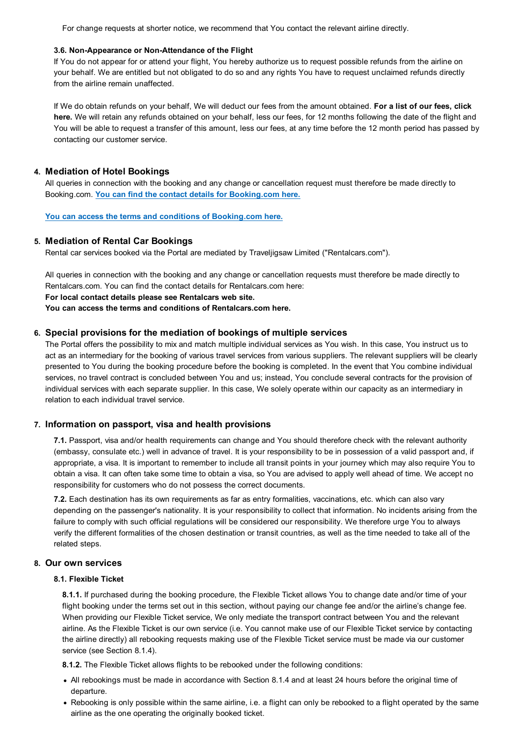<span id="page-4-0"></span>For change requests at shorter notice, we recommend that You contact the relevant airline directly.

## **3.6. Non-Appearance or Non-Attendance of the Flight**

If You do not appear for or attend your flight, You hereby authorize us to request possible refunds from the airline on your behalf. We are entitled but not obligated to do so and any rights You have to request unclaimed refunds directly from the airline remain unaffected.

If We do obtain refunds on your behalf, We will deduct our fees from the amount obtained. **For a list of our fees, click here.** [We will retain any refunds obtained on your behalf, less our fees, for 12 months following the date of the flight and](#page-8-0) You will be able to request a transfer of this amount, less our fees, at any time before the 12 month period has passed by contacting our customer service.

## **4. Mediation of Hotel Bookings**

All queries in connection with the booking and any change or cancellation request must therefore be made directly to Booking.com. **[You can find the contact details for Booking.com here.](https://www.booking.com/content/terms.html?aid=2164548)**

**[You can access the terms and conditions of Booking.com here.](https://secure.booking.com/content/cs.html?aid=2164548)**

## **5. Mediation of Rental Car Bookings**

Rental car services booked via the Portal are mediated by Traveljigsaw Limited ("Rentalcars.com").

All queries in connection with the booking and any change or cancellation requests must therefore be made directly to Rentalcars.com. You can find the contact details for Rentalcars.com here:

## **[For local contact details please see Rentalcars web site.](http://www.rentalcars.com/en/contact/)**

**[You can access the terms and conditions of Rentalcars.com here.](http://www.rentalcars.com/en/terms/)**

## **6. Special provisions for the mediation of bookings of multiple services**

The Portal offers the possibility to mix and match multiple individual services as You wish. In this case, You instruct us to act as an intermediary for the booking of various travel services from various suppliers. The relevant suppliers will be clearly presented to You during the booking procedure before the booking is completed. In the event that You combine individual services, no travel contract is concluded between You and us; instead, You conclude several contracts for the provision of individual services with each separate supplier. In this case, We solely operate within our capacity as an intermediary in relation to each individual travel service.

## **7. Information on passport, visa and health provisions**

**7.1.** Passport, visa and/or health requirements can change and You should therefore check with the relevant authority (embassy, consulate etc.) well in advance of travel. It is your responsibility to be in possession of a valid passport and, if appropriate, a visa. It is important to remember to include all transit points in your journey which may also require You to obtain a visa. It can often take some time to obtain a visa, so You are advised to apply well ahead of time. We accept no responsibility for customers who do not possess the correct documents.

**7.2.** Each destination has its own requirements as far as entry formalities, vaccinations, etc. which can also vary depending on the passenger's nationality. It is your responsibility to collect that information. No incidents arising from the failure to comply with such official regulations will be considered our responsibility. We therefore urge You to always verify the different formalities of the chosen destination or transit countries, as well as the time needed to take all of the related steps.

## **8. Our own services**

## **8.1. Flexible Ticket**

**8.1.1.** If purchased during the booking procedure, the Flexible Ticket allows You to change date and/or time of your flight booking under the terms set out in this section, without paying our change fee and/or the airline's change fee. When providing our Flexible Ticket service, We only mediate the transport contract between You and the relevant airline. As the Flexible Ticket is our own service (i.e. You cannot make use of our Flexible Ticket service by contacting the airline directly) all rebooking requests making use of the Flexible Ticket service must be made via our customer service (see Section 8.1.4).

**8.1.2.** The Flexible Ticket allows flights to be rebooked under the following conditions:

- All rebookings must be made in accordance with Section 8.1.4 and at least 24 hours before the original time of departure.
- Rebooking is only possible within the same airline, i.e. a flight can only be rebooked to a flight operated by the same airline as the one operating the originally booked ticket.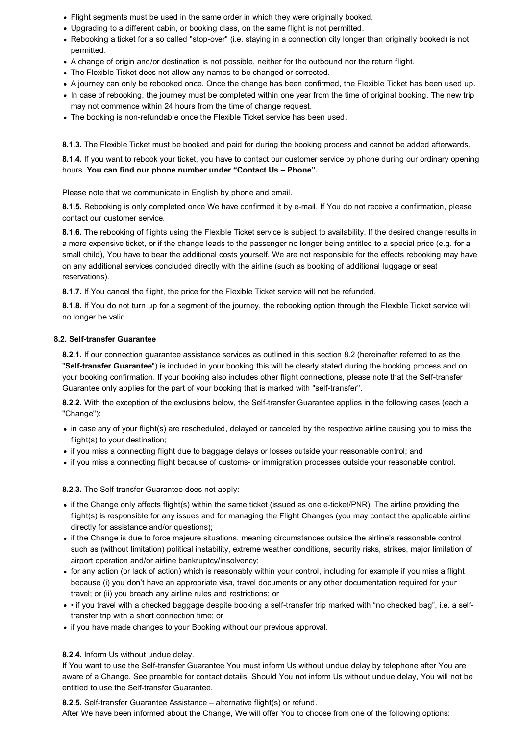- Flight segments must be used in the same order in which they were originally booked.
- Upgrading to a different cabin, or booking class, on the same flight is not permitted.
- Rebooking a ticket for a so called "stop-over" (i.e. staying in a connection city longer than originally booked) is not permitted.
- A change of origin and/or destination is not possible, neither for the outbound nor the return flight.
- The Flexible Ticket does not allow any names to be changed or corrected.
- A journey can only be rebooked once. Once the change has been confirmed, the Flexible Ticket has been used up.
- In case of rebooking, the journey must be completed within one year from the time of original booking. The new trip may not commence within 24 hours from the time of change request.
- The booking is non-refundable once the Flexible Ticket service has been used.

**8.1.3.** The Flexible Ticket must be booked and paid for during the booking process and cannot be added afterwards.

**8.1.4.** If you want to rebook your ticket, you have to contact our customer service by phone during our ordinary opening hours. **[You can find our phone number under "Contact Us – Phone".](https://www.gotogate.com/rf/contact-us)** 

Please note that we communicate in English by phone and email.

**8.1.5.** Rebooking is only completed once We have confirmed it by e-mail. If You do not receive a confirmation, please contact our customer service.

**8.1.6.** The rebooking of flights using the Flexible Ticket service is subject to availability. If the desired change results in a more expensive ticket, or if the change leads to the passenger no longer being entitled to a special price (e.g. for a small child), You have to bear the additional costs yourself. We are not responsible for the effects rebooking may have on any additional services concluded directly with the airline (such as booking of additional luggage or seat reservations).

**8.1.7.** If You cancel the flight, the price for the Flexible Ticket service will not be refunded.

**8.1.8.** If You do not turn up for a segment of the journey, the rebooking option through the Flexible Ticket service will no longer be valid.

## **8.2. Self-transfer Guarantee**

**8.2.1.** If our connection guarantee assistance services as outlined in this section 8.2 (hereinafter referred to as the "**Self-transfer Guarantee**") is included in your booking this will be clearly stated during the booking process and on your booking confirmation. If your booking also includes other flight connections, please note that the Self-transfer Guarantee only applies for the part of your booking that is marked with "self-transfer".

**8.2.2.** With the exception of the exclusions below, the Self-transfer Guarantee applies in the following cases (each a "Change"):

- in case any of your flight(s) are rescheduled, delayed or canceled by the respective airline causing you to miss the flight(s) to your destination;
- if you miss a connecting flight due to baggage delays or losses outside your reasonable control; and
- if you miss a connecting flight because of customs- or immigration processes outside your reasonable control.

## **8.2.3.** The Self-transfer Guarantee does not apply:

- if the Change only affects flight(s) within the same ticket (issued as one e-ticket/PNR). The airline providing the flight(s) is responsible for any issues and for managing the Flight Changes (you may contact the applicable airline directly for assistance and/or questions);
- if the Change is due to force majeure situations, meaning circumstances outside the airline's reasonable control such as (without limitation) political instability, extreme weather conditions, security risks, strikes, major limitation of airport operation and/or airline bankruptcy/insolvency;
- for any action (or lack of action) which is reasonably within your control, including for example if you miss a flight because (i) you don't have an appropriate visa, travel documents or any other documentation required for your travel; or (ii) you breach any airline rules and restrictions; or
- if you travel with a checked baggage despite booking a self-transfer trip marked with "no checked bag", i.e. a selftransfer trip with a short connection time; or
- if you have made changes to your Booking without our previous approval.

## **8.2.4.** Inform Us without undue delay.

If You want to use the Self-transfer Guarantee You must inform Us without undue delay by telephone after You are aware of a Change. See preamble for contact details. Should You not inform Us without undue delay, You will not be entitled to use the Self-transfer Guarantee.

**8.2.5.** Self-transfer Guarantee Assistance – alternative flight(s) or refund. After We have been informed about the Change, We will offer You to choose from one of the following options: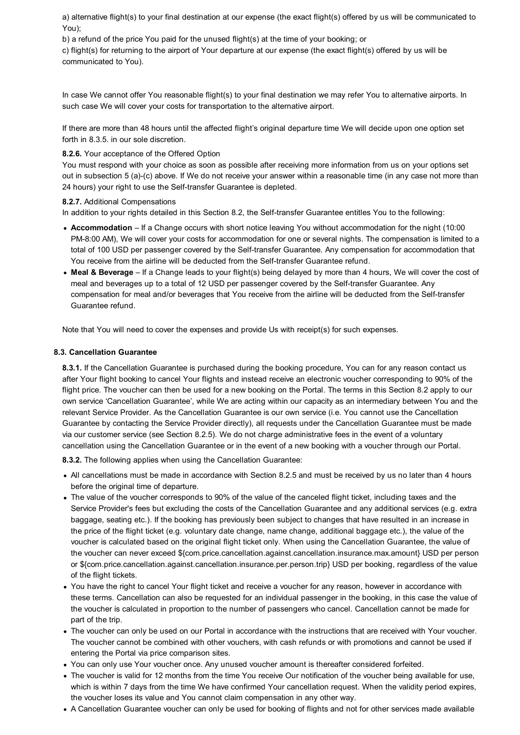a) alternative flight(s) to your final destination at our expense (the exact flight(s) offered by us will be communicated to You);

b) a refund of the price You paid for the unused flight(s) at the time of your booking; or

c) flight(s) for returning to the airport of Your departure at our expense (the exact flight(s) offered by us will be communicated to You).

In case We cannot offer You reasonable flight(s) to your final destination we may refer You to alternative airports. In such case We will cover your costs for transportation to the alternative airport.

If there are more than 48 hours until the affected flight's original departure time We will decide upon one option set forth in 8.3.5. in our sole discretion.

## **8.2.6.** Your acceptance of the Offered Option

You must respond with your choice as soon as possible after receiving more information from us on your options set out in subsection 5 (a)-(c) above. If We do not receive your answer within a reasonable time (in any case not more than 24 hours) your right to use the Self-transfer Guarantee is depleted.

## **8.2.7.** Additional Compensations

In addition to your rights detailed in this Section 8.2, the Self-transfer Guarantee entitles You to the following:

- **Accommodation** If a Change occurs with short notice leaving You without accommodation for the night (10:00 PM-8:00 AM), We will cover your costs for accommodation for one or several nights. The compensation is limited to a total of 100 USD per passenger covered by the Self-transfer Guarantee. Any compensation for accommodation that You receive from the airline will be deducted from the Self-transfer Guarantee refund.
- **Meal & Beverage** If a Change leads to your flight(s) being delayed by more than 4 hours, We will cover the cost of meal and beverages up to a total of 12 USD per passenger covered by the Self-transfer Guarantee. Any compensation for meal and/or beverages that You receive from the airline will be deducted from the Self-transfer Guarantee refund.

Note that You will need to cover the expenses and provide Us with receipt(s) for such expenses.

## **8.3. Cancellation Guarantee**

**8.3.1.** If the Cancellation Guarantee is purchased during the booking procedure, You can for any reason contact us after Your flight booking to cancel Your flights and instead receive an electronic voucher corresponding to 90% of the flight price. The voucher can then be used for a new booking on the Portal. The terms in this Section 8.2 apply to our own service 'Cancellation Guarantee', while We are acting within our capacity as an intermediary between You and the relevant Service Provider. As the Cancellation Guarantee is our own service (i.e. You cannot use the Cancellation Guarantee by contacting the Service Provider directly), all requests under the Cancellation Guarantee must be made via our customer service (see Section 8.2.5). We do not charge administrative fees in the event of a voluntary cancellation using the Cancellation Guarantee or in the event of a new booking with a voucher through our Portal.

**8.3.2.** The following applies when using the Cancellation Guarantee:

- All cancellations must be made in accordance with Section 8.2.5 and must be received by us no later than 4 hours before the original time of departure.
- The value of the voucher corresponds to 90% of the value of the canceled flight ticket, including taxes and the Service Provider's fees but excluding the costs of the Cancellation Guarantee and any additional services (e.g. extra baggage, seating etc.). If the booking has previously been subject to changes that have resulted in an increase in the price of the flight ticket (e.g. voluntary date change, name change, additional baggage etc.), the value of the voucher is calculated based on the original flight ticket only. When using the Cancellation Guarantee, the value of the voucher can never exceed \${com.price.cancellation.against.cancellation.insurance.max.amount} USD per person or \${com.price.cancellation.against.cancellation.insurance.per.person.trip} USD per booking, regardless of the value of the flight tickets.
- You have the right to cancel Your flight ticket and receive a voucher for any reason, however in accordance with these terms. Cancellation can also be requested for an individual passenger in the booking, in this case the value of the voucher is calculated in proportion to the number of passengers who cancel. Cancellation cannot be made for part of the trip.
- The voucher can only be used on our Portal in accordance with the instructions that are received with Your voucher. The voucher cannot be combined with other vouchers, with cash refunds or with promotions and cannot be used if entering the Portal via price comparison sites.
- You can only use Your voucher once. Any unused voucher amount is thereafter considered forfeited.
- The voucher is valid for 12 months from the time You receive Our notification of the voucher being available for use, which is within 7 days from the time We have confirmed Your cancellation request. When the validity period expires, the voucher loses its value and You cannot claim compensation in any other way.
- A Cancellation Guarantee voucher can only be used for booking of flights and not for other services made available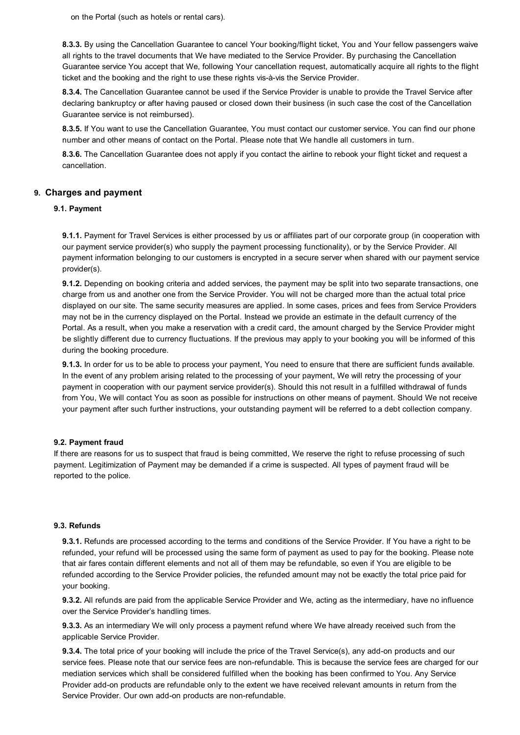<span id="page-7-0"></span>on the Portal (such as hotels or rental cars).

**8.3.3.** By using the Cancellation Guarantee to cancel Your booking/flight ticket, You and Your fellow passengers waive all rights to the travel documents that We have mediated to the Service Provider. By purchasing the Cancellation Guarantee service You accept that We, following Your cancellation request, automatically acquire all rights to the flight ticket and the booking and the right to use these rights vis-à-vis the Service Provider.

**8.3.4.** The Cancellation Guarantee cannot be used if the Service Provider is unable to provide the Travel Service after declaring bankruptcy or after having paused or closed down their business (in such case the cost of the Cancellation Guarantee service is not reimbursed).

**8.3.5.** If You want to use the Cancellation Guarantee, You must contact our customer service. You can find our phone number and other means of contact on the Portal. Please note that We handle all customers in turn.

**8.3.6.** The Cancellation Guarantee does not apply if you contact the airline to rebook your flight ticket and request a cancellation.

## **9. Charges and payment**

## **9.1. Payment**

**9.1.1.** Payment for Travel Services is either processed by us or affiliates part of our corporate group (in cooperation with our payment service provider(s) who supply the payment processing functionality), or by the Service Provider. All payment information belonging to our customers is encrypted in a secure server when shared with our payment service provider(s).

**9.1.2.** Depending on booking criteria and added services, the payment may be split into two separate transactions, one charge from us and another one from the Service Provider. You will not be charged more than the actual total price displayed on our site. The same security measures are applied. In some cases, prices and fees from Service Providers may not be in the currency displayed on the Portal. Instead we provide an estimate in the default currency of the Portal. As a result, when you make a reservation with a credit card, the amount charged by the Service Provider might be slightly different due to currency fluctuations. If the previous may apply to your booking you will be informed of this during the booking procedure.

**9.1.3.** In order for us to be able to process your payment, You need to ensure that there are sufficient funds available. In the event of any problem arising related to the processing of your payment, We will retry the processing of your payment in cooperation with our payment service provider(s). Should this not result in a fulfilled withdrawal of funds from You, We will contact You as soon as possible for instructions on other means of payment. Should We not receive your payment after such further instructions, your outstanding payment will be referred to a debt collection company.

## **9.2. Payment fraud**

If there are reasons for us to suspect that fraud is being committed, We reserve the right to refuse processing of such payment. Legitimization of Payment may be demanded if a crime is suspected. All types of payment fraud will be reported to the police.

#### **9.3. Refunds**

**9.3.1.** Refunds are processed according to the terms and conditions of the Service Provider. If You have a right to be refunded, your refund will be processed using the same form of payment as used to pay for the booking. Please note that air fares contain different elements and not all of them may be refundable, so even if You are eligible to be refunded according to the Service Provider policies, the refunded amount may not be exactly the total price paid for your booking.

**9.3.2.** All refunds are paid from the applicable Service Provider and We, acting as the intermediary, have no influence over the Service Provider's handling times.

**9.3.3.** As an intermediary We will only process a payment refund where We have already received such from the applicable Service Provider.

**9.3.4.** The total price of your booking will include the price of the Travel Service(s), any add-on products and our service fees. Please note that our service fees are non-refundable. This is because the service fees are charged for our mediation services which shall be considered fulfilled when the booking has been confirmed to You. Any Service Provider add-on products are refundable only to the extent we have received relevant amounts in return from the Service Provider. Our own add-on products are non-refundable.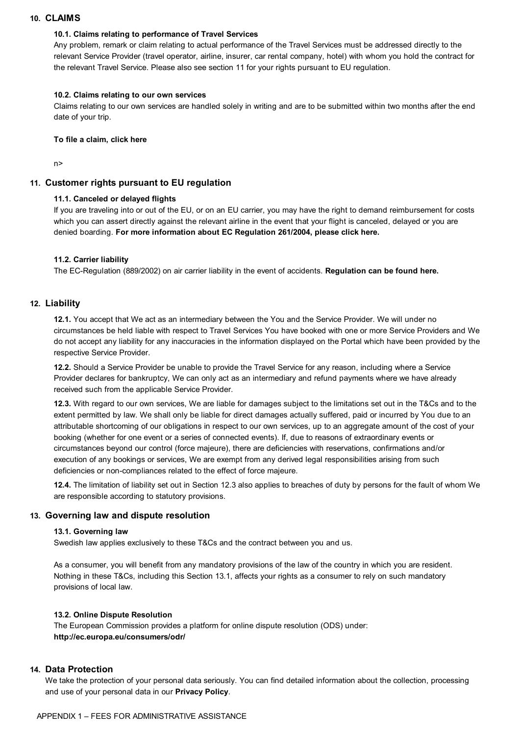## <span id="page-8-0"></span>**10. CLAIMS**

## **10.1. Claims relating to performance of Travel Services**

Any problem, remark or claim relating to actual performance of the Travel Services must be addressed directly to the relevant Service Provider (travel operator, airline, insurer, car rental company, hotel) with whom you hold the contract for the relevant Travel Service. Please also see section 11 for your rights pursuant to EU regulation.

## **10.2. Claims relating to our own services**

Claims relating to our own services are handled solely in writing and are to be submitted within two months after the end date of your trip.

## **[To file a claim, click here](https://system.etrack1.com/formbuilder/ContactForm.aspx?fid=b84f8d95-097c-4b92-8540-fe740de98e9b&dc=82216&b=et)**

n>

# **11. Customer rights pursuant to EU regulation**

# **11.1. Canceled or delayed flights**

If you are traveling into or out of the EU, or on an EU carrier, you may have the right to demand reimbursement for costs which you can assert directly against the relevant airline in the event that your flight is canceled, delayed or you are denied boarding. **[For more information about EC Regulation 261/2004, please click here.](http://eur-lex.europa.eu/legal-content/EN/ALL/?uri=CELEX%3A32004R0261)**

# **11.2. Carrier liability**

The EC-Regulation (889/2002) on air carrier liability in the event of accidents. **[Regulation can be found here.](http://eur-lex.europa.eu/legal-content/EN/TXT/?uri=celex%3A32002R0889)**

# **12. Liability**

**12.1.** You accept that We act as an intermediary between the You and the Service Provider. We will under no circumstances be held liable with respect to Travel Services You have booked with one or more Service Providers and We do not accept any liability for any inaccuracies in the information displayed on the Portal which have been provided by the respective Service Provider.

**12.2.** Should a Service Provider be unable to provide the Travel Service for any reason, including where a Service Provider declares for bankruptcy, We can only act as an intermediary and refund payments where we have already received such from the applicable Service Provider.

**12.3.** With regard to our own services, We are liable for damages subject to the limitations set out in the T&Cs and to the extent permitted by law. We shall only be liable for direct damages actually suffered, paid or incurred by You due to an attributable shortcoming of our obligations in respect to our own services, up to an aggregate amount of the cost of your booking (whether for one event or a series of connected events). If, due to reasons of extraordinary events or circumstances beyond our control (force majeure), there are deficiencies with reservations, confirmations and/or execution of any bookings or services, We are exempt from any derived legal responsibilities arising from such deficiencies or non-compliances related to the effect of force majeure.

**12.4.** The limitation of liability set out in Section 12.3 also applies to breaches of duty by persons for the fault of whom We are responsible according to statutory provisions.

# **13. Governing law and dispute resolution**

## **13.1. Governing law**

Swedish law applies exclusively to these T&Cs and the contract between you and us.

As a consumer, you will benefit from any mandatory provisions of the law of the country in which you are resident. Nothing in these T&Cs, including this Section 13.1, affects your rights as a consumer to rely on such mandatory provisions of local law.

# **13.2. Online Dispute Resolution**

The European Commission provides a platform for online dispute resolution (ODS) under: **<http://ec.europa.eu/consumers/odr/>**

# **14. Data Protection**

We take the protection of your personal data seriously. You can find detailed information about the collection, processing and use of your personal data in our **[Privacy Policy](https://www.gotogate.com/privacy-policy)**.